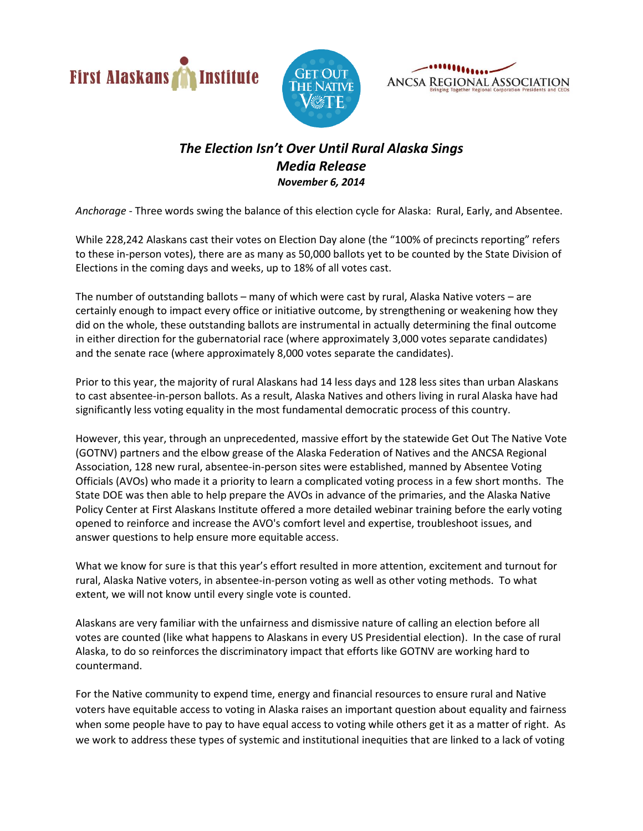





## *The Election Isn't Over Until Rural Alaska Sings Media Release November 6, 2014*

*Anchorage* - Three words swing the balance of this election cycle for Alaska: Rural, Early, and Absentee.

While 228,242 Alaskans cast their votes on Election Day alone (the "100% of precincts reporting" refers to these in-person votes), there are as many as 50,000 ballots yet to be counted by the State Division of Elections in the coming days and weeks, up to 18% of all votes cast.

The number of outstanding ballots – many of which were cast by rural, Alaska Native voters – are certainly enough to impact every office or initiative outcome, by strengthening or weakening how they did on the whole, these outstanding ballots are instrumental in actually determining the final outcome in either direction for the gubernatorial race (where approximately 3,000 votes separate candidates) and the senate race (where approximately 8,000 votes separate the candidates).

Prior to this year, the majority of rural Alaskans had 14 less days and 128 less sites than urban Alaskans to cast absentee-in-person ballots. As a result, Alaska Natives and others living in rural Alaska have had significantly less voting equality in the most fundamental democratic process of this country.

However, this year, through an unprecedented, massive effort by the statewide Get Out The Native Vote (GOTNV) partners and the elbow grease of the Alaska Federation of Natives and the ANCSA Regional Association, 128 new rural, absentee-in-person sites were established, manned by Absentee Voting Officials (AVOs) who made it a priority to learn a complicated voting process in a few short months. The State DOE was then able to help prepare the AVOs in advance of the primaries, and the Alaska Native Policy Center at First Alaskans Institute offered a more detailed webinar training before the early voting opened to reinforce and increase the AVO's comfort level and expertise, troubleshoot issues, and answer questions to help ensure more equitable access.

What we know for sure is that this year's effort resulted in more attention, excitement and turnout for rural, Alaska Native voters, in absentee-in-person voting as well as other voting methods. To what extent, we will not know until every single vote is counted.

Alaskans are very familiar with the unfairness and dismissive nature of calling an election before all votes are counted (like what happens to Alaskans in every US Presidential election). In the case of rural Alaska, to do so reinforces the discriminatory impact that efforts like GOTNV are working hard to countermand.

For the Native community to expend time, energy and financial resources to ensure rural and Native voters have equitable access to voting in Alaska raises an important question about equality and fairness when some people have to pay to have equal access to voting while others get it as a matter of right. As we work to address these types of systemic and institutional inequities that are linked to a lack of voting